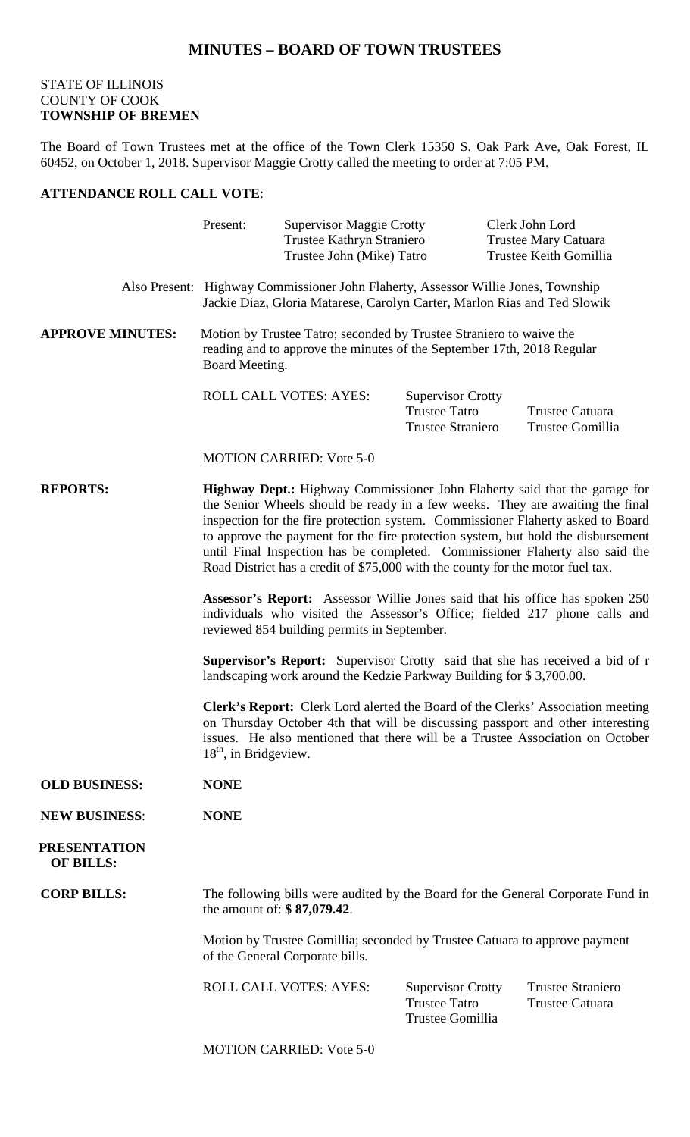## **MINUTES – BOARD OF TOWN TRUSTEES**

## STATE OF ILLINOIS COUNTY OF COOK **TOWNSHIP OF BREMEN**

The Board of Town Trustees met at the office of the Town Clerk 15350 S. Oak Park Ave, Oak Forest, IL 60452, on October 1, 2018. Supervisor Maggie Crotty called the meeting to order at 7:05 PM.

## **ATTENDANCE ROLL CALL VOTE**:

|                                         | Present:                                                                                                                                                                                                                                                                                                                                                                                                                                                                                                    | <b>Supervisor Maggie Crotty</b><br>Trustee Kathryn Straniero<br>Trustee John (Mike) Tatro |                                                                              | Clerk John Lord<br><b>Trustee Mary Catuara</b><br>Trustee Keith Gomillia |
|-----------------------------------------|-------------------------------------------------------------------------------------------------------------------------------------------------------------------------------------------------------------------------------------------------------------------------------------------------------------------------------------------------------------------------------------------------------------------------------------------------------------------------------------------------------------|-------------------------------------------------------------------------------------------|------------------------------------------------------------------------------|--------------------------------------------------------------------------|
|                                         | Also Present: Highway Commissioner John Flaherty, Assessor Willie Jones, Township<br>Jackie Diaz, Gloria Matarese, Carolyn Carter, Marlon Rias and Ted Slowik                                                                                                                                                                                                                                                                                                                                               |                                                                                           |                                                                              |                                                                          |
| <b>APPROVE MINUTES:</b>                 | Motion by Trustee Tatro; seconded by Trustee Straniero to waive the<br>reading and to approve the minutes of the September 17th, 2018 Regular<br>Board Meeting.                                                                                                                                                                                                                                                                                                                                             |                                                                                           |                                                                              |                                                                          |
|                                         |                                                                                                                                                                                                                                                                                                                                                                                                                                                                                                             | ROLL CALL VOTES: AYES:                                                                    | <b>Supervisor Crotty</b><br><b>Trustee Tatro</b><br><b>Trustee Straniero</b> | Trustee Catuara<br>Trustee Gomillia                                      |
|                                         |                                                                                                                                                                                                                                                                                                                                                                                                                                                                                                             | <b>MOTION CARRIED: Vote 5-0</b>                                                           |                                                                              |                                                                          |
| <b>REPORTS:</b>                         | <b>Highway Dept.:</b> Highway Commissioner John Flaherty said that the garage for<br>the Senior Wheels should be ready in a few weeks. They are awaiting the final<br>inspection for the fire protection system. Commissioner Flaherty asked to Board<br>to approve the payment for the fire protection system, but hold the disbursement<br>until Final Inspection has be completed. Commissioner Flaherty also said the<br>Road District has a credit of \$75,000 with the county for the motor fuel tax. |                                                                                           |                                                                              |                                                                          |
|                                         | Assessor's Report: Assessor Willie Jones said that his office has spoken 250<br>individuals who visited the Assessor's Office; fielded 217 phone calls and<br>reviewed 854 building permits in September.                                                                                                                                                                                                                                                                                                   |                                                                                           |                                                                              |                                                                          |
|                                         | <b>Supervisor's Report:</b> Supervisor Crotty said that she has received a bid of r<br>landscaping work around the Kedzie Parkway Building for \$3,700.00.                                                                                                                                                                                                                                                                                                                                                  |                                                                                           |                                                                              |                                                                          |
|                                         | Clerk's Report: Clerk Lord alerted the Board of the Clerks' Association meeting<br>on Thursday October 4th that will be discussing passport and other interesting<br>issues. He also mentioned that there will be a Trustee Association on October<br>$18th$ , in Bridgeview.                                                                                                                                                                                                                               |                                                                                           |                                                                              |                                                                          |
| <b>OLD BUSINESS:</b>                    | <b>NONE</b>                                                                                                                                                                                                                                                                                                                                                                                                                                                                                                 |                                                                                           |                                                                              |                                                                          |
| <b>NEW BUSINESS:</b>                    | <b>NONE</b>                                                                                                                                                                                                                                                                                                                                                                                                                                                                                                 |                                                                                           |                                                                              |                                                                          |
| <b>PRESENTATION</b><br><b>OF BILLS:</b> |                                                                                                                                                                                                                                                                                                                                                                                                                                                                                                             |                                                                                           |                                                                              |                                                                          |
| <b>CORP BILLS:</b>                      | The following bills were audited by the Board for the General Corporate Fund in<br>the amount of: \$87,079.42.                                                                                                                                                                                                                                                                                                                                                                                              |                                                                                           |                                                                              |                                                                          |
|                                         | Motion by Trustee Gomillia; seconded by Trustee Catuara to approve payment<br>of the General Corporate bills.                                                                                                                                                                                                                                                                                                                                                                                               |                                                                                           |                                                                              |                                                                          |
|                                         |                                                                                                                                                                                                                                                                                                                                                                                                                                                                                                             | <b>ROLL CALL VOTES: AYES:</b>                                                             | <b>Supervisor Crotty</b><br><b>Trustee Tatro</b><br>Trustee Gomillia         | <b>Trustee Straniero</b><br><b>Trustee Catuara</b>                       |
|                                         |                                                                                                                                                                                                                                                                                                                                                                                                                                                                                                             | <b>MOTION CARRIED: Vote 5-0</b>                                                           |                                                                              |                                                                          |